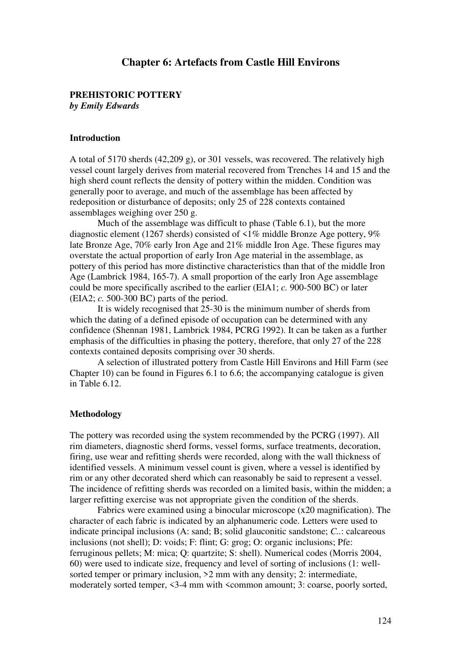## **Chapter 6: Artefacts from Castle Hill Environs**

## **PREHISTORIC POTTERY**

*by Emily Edwards*

#### **Introduction**

A total of 5170 sherds (42,209 g), or 301 vessels, was recovered. The relatively high vessel count largely derives from material recovered from Trenches 14 and 15 and the high sherd count reflects the density of pottery within the midden. Condition was generally poor to average, and much of the assemblage has been affected by redeposition or disturbance of deposits; only 25 of 228 contexts contained assemblages weighing over 250 g.

Much of the assemblage was difficult to phase (Table 6.1), but the more diagnostic element (1267 sherds) consisted of  $\leq 1\%$  middle Bronze Age pottery, 9% late Bronze Age, 70% early Iron Age and 21% middle Iron Age. These figures may overstate the actual proportion of early Iron Age material in the assemblage, as pottery of this period has more distinctive characteristics than that of the middle Iron Age (Lambrick 1984, 165-7). A small proportion of the early Iron Age assemblage could be more specifically ascribed to the earlier (EIA1; *c.* 900-500 BC) or later (EIA2; *c.* 500-300 BC) parts of the period.

It is widely recognised that 25-30 is the minimum number of sherds from which the dating of a defined episode of occupation can be determined with any confidence (Shennan 1981, Lambrick 1984, PCRG 1992). It can be taken as a further emphasis of the difficulties in phasing the pottery, therefore, that only 27 of the 228 contexts contained deposits comprising over 30 sherds.

A selection of illustrated pottery from Castle Hill Environs and Hill Farm (see Chapter 10) can be found in Figures 6.1 to 6.6; the accompanying catalogue is given in Table 6.12.

### **Methodology**

The pottery was recorded using the system recommended by the PCRG (1997). All rim diameters, diagnostic sherd forms, vessel forms, surface treatments, decoration, firing, use wear and refitting sherds were recorded, along with the wall thickness of identified vessels. A minimum vessel count is given, where a vessel is identified by rim or any other decorated sherd which can reasonably be said to represent a vessel. The incidence of refitting sherds was recorded on a limited basis, within the midden; a larger refitting exercise was not appropriate given the condition of the sherds.

Fabrics were examined using a binocular microscope (x20 magnification). The character of each fabric is indicated by an alphanumeric code. Letters were used to indicate principal inclusions (A: sand; B; solid glauconitic sandstone; *C..*: calcareous inclusions (not shell); D: voids; F: flint; G: grog; O: organic inclusions; Pfe: ferruginous pellets; M: mica; Q: quartzite; S: shell). Numerical codes (Morris 2004, 60) were used to indicate size, frequency and level of sorting of inclusions (1: wellsorted temper or primary inclusion, >2 mm with any density; 2: intermediate, moderately sorted temper, <3-4 mm with <common amount; 3: coarse, poorly sorted,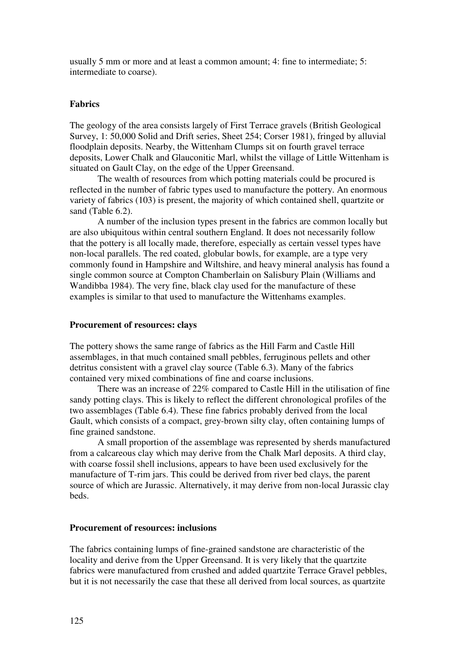usually 5 mm or more and at least a common amount; 4: fine to intermediate; 5: intermediate to coarse).

## **Fabrics**

The geology of the area consists largely of First Terrace gravels (British Geological Survey, 1: 50,000 Solid and Drift series, Sheet 254; Corser 1981), fringed by alluvial floodplain deposits. Nearby, the Wittenham Clumps sit on fourth gravel terrace deposits, Lower Chalk and Glauconitic Marl, whilst the village of Little Wittenham is situated on Gault Clay, on the edge of the Upper Greensand.

The wealth of resources from which potting materials could be procured is reflected in the number of fabric types used to manufacture the pottery. An enormous variety of fabrics (103) is present, the majority of which contained shell, quartzite or sand (Table 6.2).

A number of the inclusion types present in the fabrics are common locally but are also ubiquitous within central southern England. It does not necessarily follow that the pottery is all locally made, therefore, especially as certain vessel types have non-local parallels. The red coated, globular bowls, for example, are a type very commonly found in Hampshire and Wiltshire, and heavy mineral analysis has found a single common source at Compton Chamberlain on Salisbury Plain (Williams and Wandibba 1984). The very fine, black clay used for the manufacture of these examples is similar to that used to manufacture the Wittenhams examples.

### **Procurement of resources: clays**

The pottery shows the same range of fabrics as the Hill Farm and Castle Hill assemblages, in that much contained small pebbles, ferruginous pellets and other detritus consistent with a gravel clay source (Table 6.3). Many of the fabrics contained very mixed combinations of fine and coarse inclusions.

There was an increase of 22% compared to Castle Hill in the utilisation of fine sandy potting clays. This is likely to reflect the different chronological profiles of the two assemblages (Table 6.4). These fine fabrics probably derived from the local Gault, which consists of a compact, grey-brown silty clay, often containing lumps of fine grained sandstone.

A small proportion of the assemblage was represented by sherds manufactured from a calcareous clay which may derive from the Chalk Marl deposits. A third clay, with coarse fossil shell inclusions, appears to have been used exclusively for the manufacture of T-rim jars. This could be derived from river bed clays, the parent source of which are Jurassic. Alternatively, it may derive from non-local Jurassic clay beds.

### **Procurement of resources: inclusions**

The fabrics containing lumps of fine-grained sandstone are characteristic of the locality and derive from the Upper Greensand. It is very likely that the quartzite fabrics were manufactured from crushed and added quartzite Terrace Gravel pebbles, but it is not necessarily the case that these all derived from local sources, as quartzite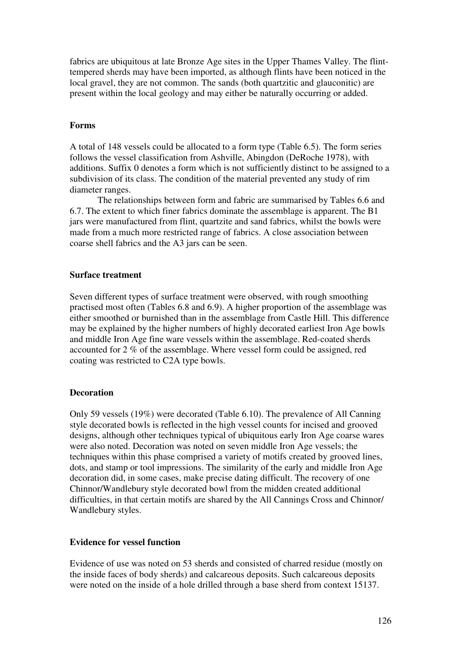fabrics are ubiquitous at late Bronze Age sites in the Upper Thames Valley. The flinttempered sherds may have been imported, as although flints have been noticed in the local gravel, they are not common. The sands (both quartzitic and glauconitic) are present within the local geology and may either be naturally occurring or added.

## **Forms**

A total of 148 vessels could be allocated to a form type (Table 6.5). The form series follows the vessel classification from Ashville, Abingdon (DeRoche 1978), with additions. Suffix 0 denotes a form which is not sufficiently distinct to be assigned to a subdivision of its class. The condition of the material prevented any study of rim diameter ranges.

The relationships between form and fabric are summarised by Tables 6.6 and 6.7. The extent to which finer fabrics dominate the assemblage is apparent. The B1 jars were manufactured from flint, quartzite and sand fabrics, whilst the bowls were made from a much more restricted range of fabrics. A close association between coarse shell fabrics and the A3 jars can be seen.

### **Surface treatment**

Seven different types of surface treatment were observed, with rough smoothing practised most often (Tables 6.8 and 6.9). A higher proportion of the assemblage was either smoothed or burnished than in the assemblage from Castle Hill. This difference may be explained by the higher numbers of highly decorated earliest Iron Age bowls and middle Iron Age fine ware vessels within the assemblage. Red-coated sherds accounted for 2 % of the assemblage. Where vessel form could be assigned, red coating was restricted to C2A type bowls.

## **Decoration**

Only 59 vessels (19%) were decorated (Table 6.10). The prevalence of All Canning style decorated bowls is reflected in the high vessel counts for incised and grooved designs, although other techniques typical of ubiquitous early Iron Age coarse wares were also noted. Decoration was noted on seven middle Iron Age vessels; the techniques within this phase comprised a variety of motifs created by grooved lines, dots, and stamp or tool impressions. The similarity of the early and middle Iron Age decoration did, in some cases, make precise dating difficult. The recovery of one Chinnor/Wandlebury style decorated bowl from the midden created additional difficulties, in that certain motifs are shared by the All Cannings Cross and Chinnor/ Wandlebury styles.

## **Evidence for vessel function**

Evidence of use was noted on 53 sherds and consisted of charred residue (mostly on the inside faces of body sherds) and calcareous deposits. Such calcareous deposits were noted on the inside of a hole drilled through a base sherd from context 15137.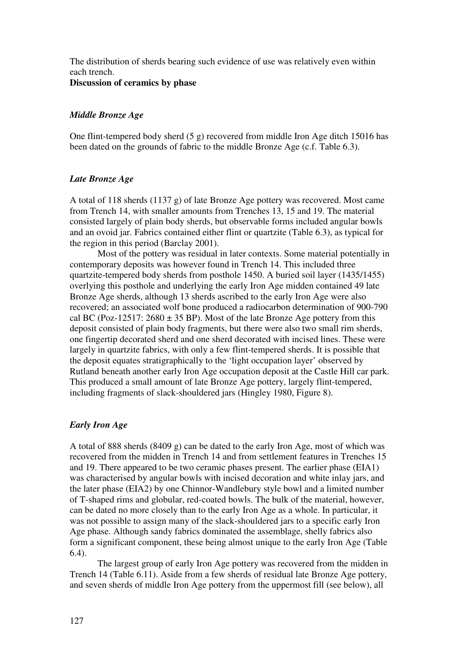The distribution of sherds bearing such evidence of use was relatively even within each trench.

**Discussion of ceramics by phase** 

## *Middle Bronze Age*

One flint-tempered body sherd (5 g) recovered from middle Iron Age ditch 15016 has been dated on the grounds of fabric to the middle Bronze Age (c.f. Table 6.3).

## *Late Bronze Age*

A total of 118 sherds (1137 g) of late Bronze Age pottery was recovered. Most came from Trench 14, with smaller amounts from Trenches 13, 15 and 19. The material consisted largely of plain body sherds, but observable forms included angular bowls and an ovoid jar. Fabrics contained either flint or quartzite (Table 6.3), as typical for the region in this period (Barclay 2001).

Most of the pottery was residual in later contexts. Some material potentially in contemporary deposits was however found in Trench 14. This included three quartzite-tempered body sherds from posthole 1450. A buried soil layer (1435/1455) overlying this posthole and underlying the early Iron Age midden contained 49 late Bronze Age sherds, although 13 sherds ascribed to the early Iron Age were also recovered; an associated wolf bone produced a radiocarbon determination of 900-790 cal BC (Poz-12517:  $2680 \pm 35$  BP). Most of the late Bronze Age pottery from this deposit consisted of plain body fragments, but there were also two small rim sherds, one fingertip decorated sherd and one sherd decorated with incised lines. These were largely in quartzite fabrics, with only a few flint-tempered sherds. It is possible that the deposit equates stratigraphically to the 'light occupation layer' observed by Rutland beneath another early Iron Age occupation deposit at the Castle Hill car park. This produced a small amount of late Bronze Age pottery, largely flint-tempered, including fragments of slack-shouldered jars (Hingley 1980, Figure 8).

## *Early Iron Age*

A total of 888 sherds (8409 g) can be dated to the early Iron Age, most of which was recovered from the midden in Trench 14 and from settlement features in Trenches 15 and 19. There appeared to be two ceramic phases present. The earlier phase (EIA1) was characterised by angular bowls with incised decoration and white inlay jars, and the later phase (EIA2) by one Chinnor-Wandlebury style bowl and a limited number of T-shaped rims and globular, red-coated bowls. The bulk of the material, however, can be dated no more closely than to the early Iron Age as a whole. In particular, it was not possible to assign many of the slack-shouldered jars to a specific early Iron Age phase. Although sandy fabrics dominated the assemblage, shelly fabrics also form a significant component, these being almost unique to the early Iron Age (Table 6.4).

The largest group of early Iron Age pottery was recovered from the midden in Trench 14 (Table 6.11). Aside from a few sherds of residual late Bronze Age pottery, and seven sherds of middle Iron Age pottery from the uppermost fill (see below), all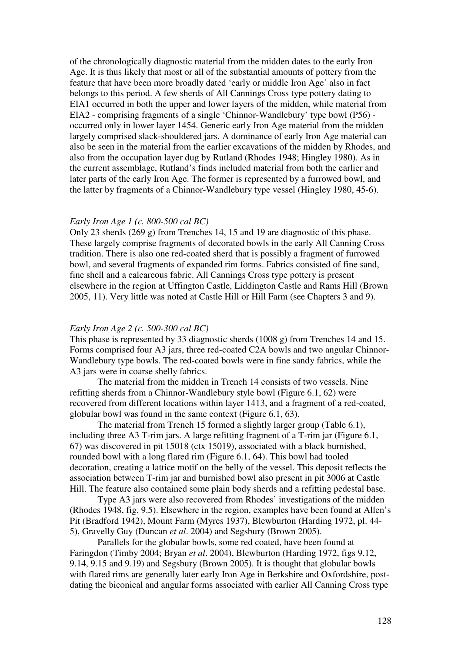of the chronologically diagnostic material from the midden dates to the early Iron Age. It is thus likely that most or all of the substantial amounts of pottery from the feature that have been more broadly dated 'early or middle Iron Age' also in fact belongs to this period. A few sherds of All Cannings Cross type pottery dating to EIA1 occurred in both the upper and lower layers of the midden, while material from EIA2 - comprising fragments of a single 'Chinnor-Wandlebury' type bowl (P56) occurred only in lower layer 1454. Generic early Iron Age material from the midden largely comprised slack-shouldered jars. A dominance of early Iron Age material can also be seen in the material from the earlier excavations of the midden by Rhodes, and also from the occupation layer dug by Rutland (Rhodes 1948; Hingley 1980). As in the current assemblage, Rutland's finds included material from both the earlier and later parts of the early Iron Age. The former is represented by a furrowed bowl, and the latter by fragments of a Chinnor-Wandlebury type vessel (Hingley 1980, 45-6).

#### *Early Iron Age 1 (c. 800-500 cal BC)*

Only 23 sherds (269 g) from Trenches 14, 15 and 19 are diagnostic of this phase. These largely comprise fragments of decorated bowls in the early All Canning Cross tradition. There is also one red-coated sherd that is possibly a fragment of furrowed bowl, and several fragments of expanded rim forms. Fabrics consisted of fine sand, fine shell and a calcareous fabric. All Cannings Cross type pottery is present elsewhere in the region at Uffington Castle, Liddington Castle and Rams Hill (Brown 2005, 11). Very little was noted at Castle Hill or Hill Farm (see Chapters 3 and 9).

#### *Early Iron Age 2 (c. 500-300 cal BC)*

This phase is represented by 33 diagnostic sherds (1008 g) from Trenches 14 and 15. Forms comprised four A3 jars, three red-coated C2A bowls and two angular Chinnor-Wandlebury type bowls. The red-coated bowls were in fine sandy fabrics, while the A3 jars were in coarse shelly fabrics.

The material from the midden in Trench 14 consists of two vessels. Nine refitting sherds from a Chinnor-Wandlebury style bowl (Figure 6.1, 62) were recovered from different locations within layer 1413, and a fragment of a red-coated, globular bowl was found in the same context (Figure 6.1, 63).

The material from Trench 15 formed a slightly larger group (Table 6.1), including three A3 T-rim jars. A large refitting fragment of a T-rim jar (Figure 6.1, 67) was discovered in pit 15018 (ctx 15019), associated with a black burnished, rounded bowl with a long flared rim (Figure 6.1, 64). This bowl had tooled decoration, creating a lattice motif on the belly of the vessel. This deposit reflects the association between T-rim jar and burnished bowl also present in pit 3006 at Castle Hill. The feature also contained some plain body sherds and a refitting pedestal base.

Type A3 jars were also recovered from Rhodes' investigations of the midden (Rhodes 1948, fig. 9.5). Elsewhere in the region, examples have been found at Allen's Pit (Bradford 1942), Mount Farm (Myres 1937), Blewburton (Harding 1972, pl. 44- 5), Gravelly Guy (Duncan *et al*. 2004) and Segsbury (Brown 2005).

Parallels for the globular bowls, some red coated, have been found at Faringdon (Timby 2004; Bryan *et al*. 2004), Blewburton (Harding 1972, figs 9.12, 9.14, 9.15 and 9.19) and Segsbury (Brown 2005). It is thought that globular bowls with flared rims are generally later early Iron Age in Berkshire and Oxfordshire, postdating the biconical and angular forms associated with earlier All Canning Cross type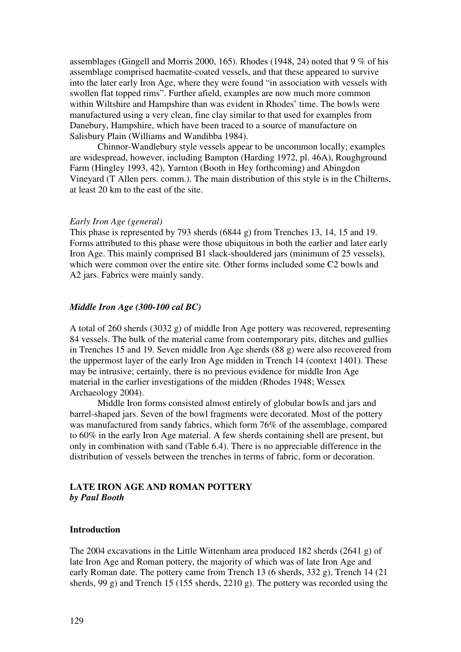assemblages (Gingell and Morris 2000, 165). Rhodes (1948, 24) noted that 9 % of his assemblage comprised haematite-coated vessels, and that these appeared to survive into the later early Iron Age, where they were found "in association with vessels with swollen flat topped rims". Further afield, examples are now much more common within Wiltshire and Hampshire than was evident in Rhodes' time. The bowls were manufactured using a very clean, fine clay similar to that used for examples from Danebury, Hampshire, which have been traced to a source of manufacture on Salisbury Plain (Williams and Wandibba 1984).

Chinnor-Wandlebury style vessels appear to be uncommon locally; examples are widespread, however, including Bampton (Harding 1972, pl. 46A), Roughground Farm (Hingley 1993, 42), Yarnton (Booth in Hey forthcoming) and Abingdon Vineyard (T Allen pers. comm.). The main distribution of this style is in the Chilterns, at least 20 km to the east of the site.

#### *Early Iron Age (general)*

This phase is represented by 793 sherds (6844 g) from Trenches 13, 14, 15 and 19. Forms attributed to this phase were those ubiquitous in both the earlier and later early Iron Age. This mainly comprised B1 slack-shouldered jars (minimum of 25 vessels), which were common over the entire site. Other forms included some C2 bowls and A2 jars. Fabrics were mainly sandy.

### *Middle Iron Age (300-100 cal BC)*

A total of 260 sherds (3032 g) of middle Iron Age pottery was recovered, representing 84 vessels. The bulk of the material came from contemporary pits, ditches and gullies in Trenches 15 and 19. Seven middle Iron Age sherds (88 g) were also recovered from the uppermost layer of the early Iron Age midden in Trench 14 (context 1401). These may be intrusive; certainly, there is no previous evidence for middle Iron Age material in the earlier investigations of the midden (Rhodes 1948; Wessex Archaeology 2004).

Middle Iron forms consisted almost entirely of globular bowls and jars and barrel-shaped jars. Seven of the bowl fragments were decorated. Most of the pottery was manufactured from sandy fabrics, which form 76% of the assemblage, compared to 60% in the early Iron Age material. A few sherds containing shell are present, but only in combination with sand (Table 6.4). There is no appreciable difference in the distribution of vessels between the trenches in terms of fabric, form or decoration.

## **LATE IRON AGE AND ROMAN POTTERY**  *by Paul Booth*

### **Introduction**

The 2004 excavations in the Little Wittenham area produced 182 sherds (2641 g) of late Iron Age and Roman pottery, the majority of which was of late Iron Age and early Roman date. The pottery came from Trench 13 (6 sherds, 332 g), Trench 14 (21 sherds, 99 g) and Trench 15 (155 sherds, 2210 g). The pottery was recorded using the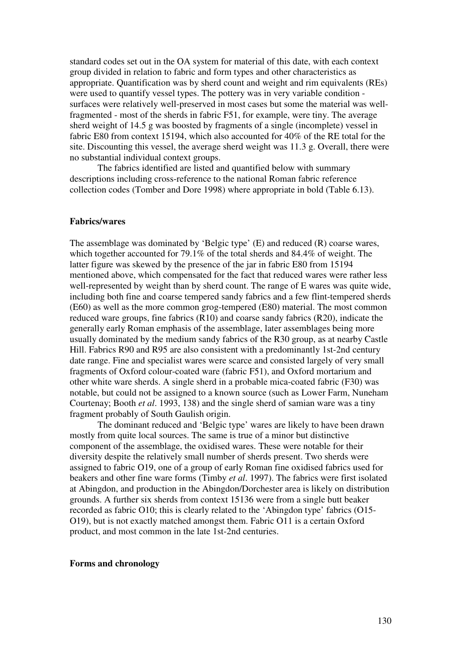standard codes set out in the OA system for material of this date, with each context group divided in relation to fabric and form types and other characteristics as appropriate. Quantification was by sherd count and weight and rim equivalents (REs) were used to quantify vessel types. The pottery was in very variable condition surfaces were relatively well-preserved in most cases but some the material was wellfragmented - most of the sherds in fabric F51, for example, were tiny. The average sherd weight of 14.5 g was boosted by fragments of a single (incomplete) vessel in fabric E80 from context 15194, which also accounted for 40% of the RE total for the site. Discounting this vessel, the average sherd weight was 11.3 g. Overall, there were no substantial individual context groups.

The fabrics identified are listed and quantified below with summary descriptions including cross-reference to the national Roman fabric reference collection codes (Tomber and Dore 1998) where appropriate in bold (Table 6.13).

#### **Fabrics/wares**

The assemblage was dominated by 'Belgic type' (E) and reduced (R) coarse wares, which together accounted for 79.1% of the total sherds and 84.4% of weight. The latter figure was skewed by the presence of the jar in fabric E80 from 15194 mentioned above, which compensated for the fact that reduced wares were rather less well-represented by weight than by sherd count. The range of E wares was quite wide, including both fine and coarse tempered sandy fabrics and a few flint-tempered sherds (E60) as well as the more common grog-tempered (E80) material. The most common reduced ware groups, fine fabrics (R10) and coarse sandy fabrics (R20), indicate the generally early Roman emphasis of the assemblage, later assemblages being more usually dominated by the medium sandy fabrics of the R30 group, as at nearby Castle Hill. Fabrics R90 and R95 are also consistent with a predominantly 1st-2nd century date range. Fine and specialist wares were scarce and consisted largely of very small fragments of Oxford colour-coated ware (fabric F51), and Oxford mortarium and other white ware sherds. A single sherd in a probable mica-coated fabric (F30) was notable, but could not be assigned to a known source (such as Lower Farm, Nuneham Courtenay; Booth *et al*. 1993, 138) and the single sherd of samian ware was a tiny fragment probably of South Gaulish origin.

The dominant reduced and 'Belgic type' wares are likely to have been drawn mostly from quite local sources. The same is true of a minor but distinctive component of the assemblage, the oxidised wares. These were notable for their diversity despite the relatively small number of sherds present. Two sherds were assigned to fabric O19, one of a group of early Roman fine oxidised fabrics used for beakers and other fine ware forms (Timby *et al*. 1997). The fabrics were first isolated at Abingdon, and production in the Abingdon/Dorchester area is likely on distribution grounds. A further six sherds from context 15136 were from a single butt beaker recorded as fabric O10; this is clearly related to the 'Abingdon type' fabrics (O15- O19), but is not exactly matched amongst them. Fabric O11 is a certain Oxford product, and most common in the late 1st-2nd centuries.

#### **Forms and chronology**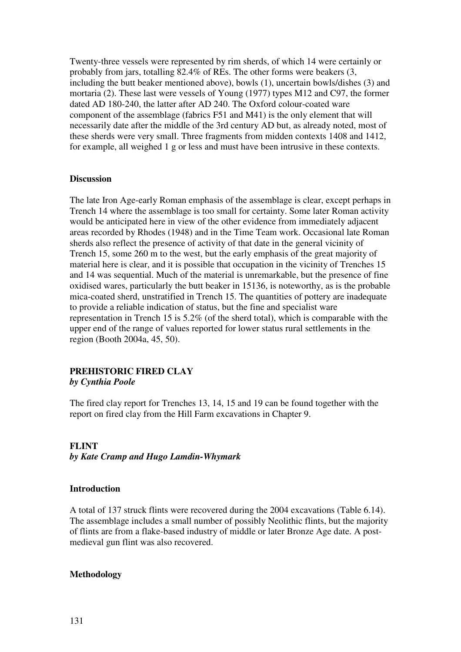Twenty-three vessels were represented by rim sherds, of which 14 were certainly or probably from jars, totalling 82.4% of REs. The other forms were beakers (3, including the butt beaker mentioned above), bowls (1), uncertain bowls/dishes (3) and mortaria (2). These last were vessels of Young (1977) types M12 and C97, the former dated AD 180-240, the latter after AD 240. The Oxford colour-coated ware component of the assemblage (fabrics F51 and M41) is the only element that will necessarily date after the middle of the 3rd century AD but, as already noted, most of these sherds were very small. Three fragments from midden contexts 1408 and 1412, for example, all weighed 1 g or less and must have been intrusive in these contexts.

### **Discussion**

The late Iron Age-early Roman emphasis of the assemblage is clear, except perhaps in Trench 14 where the assemblage is too small for certainty. Some later Roman activity would be anticipated here in view of the other evidence from immediately adjacent areas recorded by Rhodes (1948) and in the Time Team work. Occasional late Roman sherds also reflect the presence of activity of that date in the general vicinity of Trench 15, some 260 m to the west, but the early emphasis of the great majority of material here is clear, and it is possible that occupation in the vicinity of Trenches 15 and 14 was sequential. Much of the material is unremarkable, but the presence of fine oxidised wares, particularly the butt beaker in 15136, is noteworthy, as is the probable mica-coated sherd, unstratified in Trench 15. The quantities of pottery are inadequate to provide a reliable indication of status, but the fine and specialist ware representation in Trench 15 is 5.2% (of the sherd total), which is comparable with the upper end of the range of values reported for lower status rural settlements in the region (Booth 2004a, 45, 50).

### **PREHISTORIC FIRED CLAY**  *by Cynthia Poole*

The fired clay report for Trenches 13, 14, 15 and 19 can be found together with the report on fired clay from the Hill Farm excavations in Chapter 9.

## **FLINT**  *by Kate Cramp and Hugo Lamdin-Whymark*

## **Introduction**

A total of 137 struck flints were recovered during the 2004 excavations (Table 6.14). The assemblage includes a small number of possibly Neolithic flints, but the majority of flints are from a flake-based industry of middle or later Bronze Age date. A postmedieval gun flint was also recovered.

### **Methodology**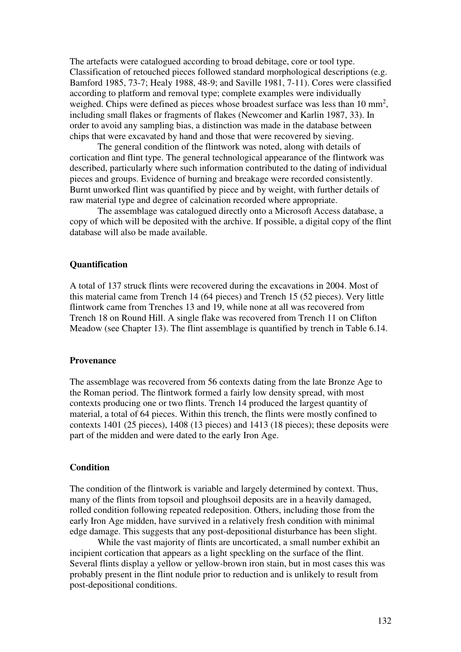The artefacts were catalogued according to broad debitage, core or tool type. Classification of retouched pieces followed standard morphological descriptions (e.g. Bamford 1985, 73-7; Healy 1988, 48-9; and Saville 1981, 7-11). Cores were classified according to platform and removal type; complete examples were individually weighed. Chips were defined as pieces whose broadest surface was less than  $10 \text{ mm}^2$ , including small flakes or fragments of flakes (Newcomer and Karlin 1987, 33). In order to avoid any sampling bias, a distinction was made in the database between chips that were excavated by hand and those that were recovered by sieving.

The general condition of the flintwork was noted, along with details of cortication and flint type. The general technological appearance of the flintwork was described, particularly where such information contributed to the dating of individual pieces and groups. Evidence of burning and breakage were recorded consistently. Burnt unworked flint was quantified by piece and by weight, with further details of raw material type and degree of calcination recorded where appropriate.

The assemblage was catalogued directly onto a Microsoft Access database, a copy of which will be deposited with the archive. If possible, a digital copy of the flint database will also be made available.

#### **Quantification**

A total of 137 struck flints were recovered during the excavations in 2004. Most of this material came from Trench 14 (64 pieces) and Trench 15 (52 pieces). Very little flintwork came from Trenches 13 and 19, while none at all was recovered from Trench 18 on Round Hill. A single flake was recovered from Trench 11 on Clifton Meadow (see Chapter 13). The flint assemblage is quantified by trench in Table 6.14.

#### **Provenance**

The assemblage was recovered from 56 contexts dating from the late Bronze Age to the Roman period. The flintwork formed a fairly low density spread, with most contexts producing one or two flints. Trench 14 produced the largest quantity of material, a total of 64 pieces. Within this trench, the flints were mostly confined to contexts 1401 (25 pieces), 1408 (13 pieces) and 1413 (18 pieces); these deposits were part of the midden and were dated to the early Iron Age.

### **Condition**

The condition of the flintwork is variable and largely determined by context. Thus, many of the flints from topsoil and ploughsoil deposits are in a heavily damaged, rolled condition following repeated redeposition. Others, including those from the early Iron Age midden, have survived in a relatively fresh condition with minimal edge damage. This suggests that any post-depositional disturbance has been slight.

While the vast majority of flints are uncorticated, a small number exhibit an incipient cortication that appears as a light speckling on the surface of the flint. Several flints display a yellow or yellow-brown iron stain, but in most cases this was probably present in the flint nodule prior to reduction and is unlikely to result from post-depositional conditions.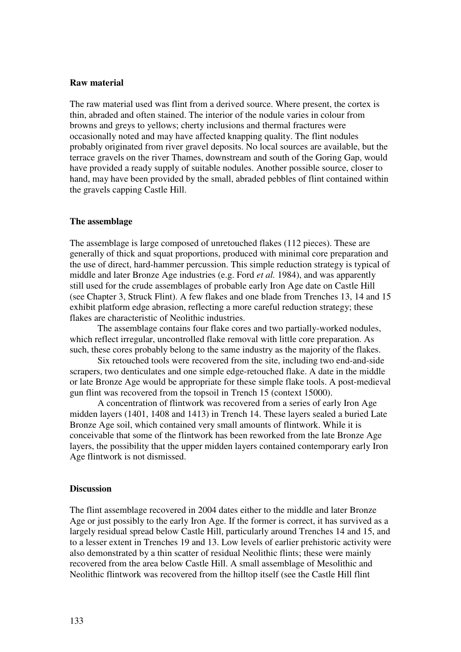#### **Raw material**

The raw material used was flint from a derived source. Where present, the cortex is thin, abraded and often stained. The interior of the nodule varies in colour from browns and greys to yellows; cherty inclusions and thermal fractures were occasionally noted and may have affected knapping quality. The flint nodules probably originated from river gravel deposits. No local sources are available, but the terrace gravels on the river Thames, downstream and south of the Goring Gap, would have provided a ready supply of suitable nodules. Another possible source, closer to hand, may have been provided by the small, abraded pebbles of flint contained within the gravels capping Castle Hill.

#### **The assemblage**

The assemblage is large composed of unretouched flakes (112 pieces). These are generally of thick and squat proportions, produced with minimal core preparation and the use of direct, hard-hammer percussion. This simple reduction strategy is typical of middle and later Bronze Age industries (e.g. Ford *et al.* 1984), and was apparently still used for the crude assemblages of probable early Iron Age date on Castle Hill (see Chapter 3, Struck Flint). A few flakes and one blade from Trenches 13, 14 and 15 exhibit platform edge abrasion, reflecting a more careful reduction strategy; these flakes are characteristic of Neolithic industries.

The assemblage contains four flake cores and two partially-worked nodules, which reflect irregular, uncontrolled flake removal with little core preparation. As such, these cores probably belong to the same industry as the majority of the flakes.

Six retouched tools were recovered from the site, including two end-and-side scrapers, two denticulates and one simple edge-retouched flake. A date in the middle or late Bronze Age would be appropriate for these simple flake tools. A post-medieval gun flint was recovered from the topsoil in Trench 15 (context 15000).

A concentration of flintwork was recovered from a series of early Iron Age midden layers (1401, 1408 and 1413) in Trench 14. These layers sealed a buried Late Bronze Age soil, which contained very small amounts of flintwork. While it is conceivable that some of the flintwork has been reworked from the late Bronze Age layers, the possibility that the upper midden layers contained contemporary early Iron Age flintwork is not dismissed.

#### **Discussion**

The flint assemblage recovered in 2004 dates either to the middle and later Bronze Age or just possibly to the early Iron Age. If the former is correct, it has survived as a largely residual spread below Castle Hill, particularly around Trenches 14 and 15, and to a lesser extent in Trenches 19 and 13. Low levels of earlier prehistoric activity were also demonstrated by a thin scatter of residual Neolithic flints; these were mainly recovered from the area below Castle Hill. A small assemblage of Mesolithic and Neolithic flintwork was recovered from the hilltop itself (see the Castle Hill flint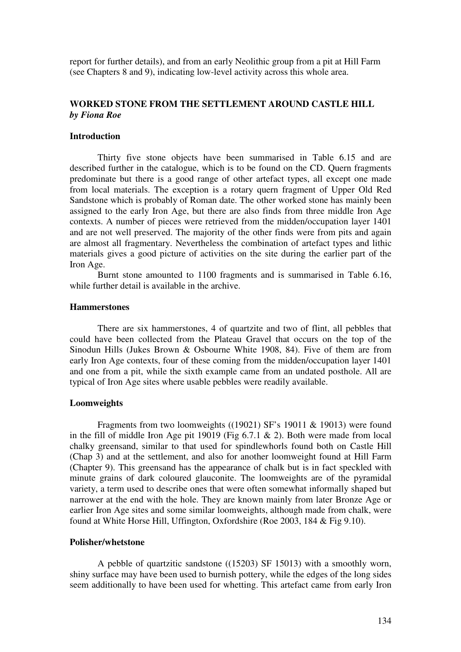report for further details), and from an early Neolithic group from a pit at Hill Farm (see Chapters 8 and 9), indicating low-level activity across this whole area.

## **WORKED STONE FROM THE SETTLEMENT AROUND CASTLE HILL** *by Fiona Roe*

#### **Introduction**

 Thirty five stone objects have been summarised in Table 6.15 and are described further in the catalogue, which is to be found on the CD. Quern fragments predominate but there is a good range of other artefact types, all except one made from local materials. The exception is a rotary quern fragment of Upper Old Red Sandstone which is probably of Roman date. The other worked stone has mainly been assigned to the early Iron Age, but there are also finds from three middle Iron Age contexts. A number of pieces were retrieved from the midden/occupation layer 1401 and are not well preserved. The majority of the other finds were from pits and again are almost all fragmentary. Nevertheless the combination of artefact types and lithic materials gives a good picture of activities on the site during the earlier part of the Iron Age.

 Burnt stone amounted to 1100 fragments and is summarised in Table 6.16, while further detail is available in the archive.

#### **Hammerstones**

 There are six hammerstones, 4 of quartzite and two of flint, all pebbles that could have been collected from the Plateau Gravel that occurs on the top of the Sinodun Hills (Jukes Brown & Osbourne White 1908, 84). Five of them are from early Iron Age contexts, four of these coming from the midden/occupation layer 1401 and one from a pit, while the sixth example came from an undated posthole. All are typical of Iron Age sites where usable pebbles were readily available.

### **Loomweights**

 Fragments from two loomweights ((19021) SF's 19011 & 19013) were found in the fill of middle Iron Age pit 19019 (Fig 6.7.1 & 2). Both were made from local chalky greensand, similar to that used for spindlewhorls found both on Castle Hill (Chap 3) and at the settlement, and also for another loomweight found at Hill Farm (Chapter 9). This greensand has the appearance of chalk but is in fact speckled with minute grains of dark coloured glauconite. The loomweights are of the pyramidal variety, a term used to describe ones that were often somewhat informally shaped but narrower at the end with the hole. They are known mainly from later Bronze Age or earlier Iron Age sites and some similar loomweights, although made from chalk, were found at White Horse Hill, Uffington, Oxfordshire (Roe 2003, 184 & Fig 9.10).

### **Polisher/whetstone**

 A pebble of quartzitic sandstone ((15203) SF 15013) with a smoothly worn, shiny surface may have been used to burnish pottery, while the edges of the long sides seem additionally to have been used for whetting. This artefact came from early Iron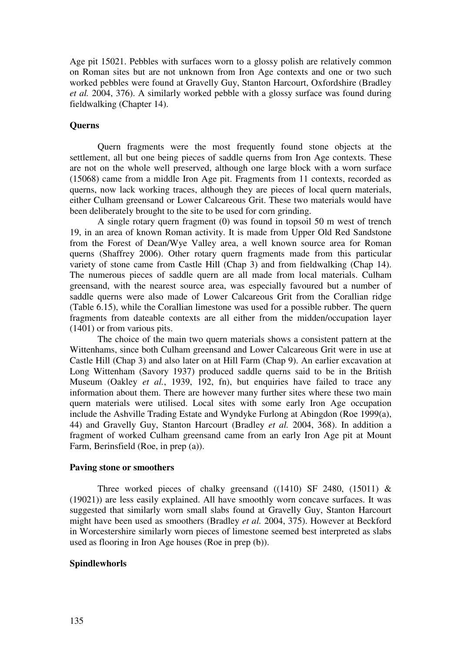Age pit 15021. Pebbles with surfaces worn to a glossy polish are relatively common on Roman sites but are not unknown from Iron Age contexts and one or two such worked pebbles were found at Gravelly Guy, Stanton Harcourt, Oxfordshire (Bradley *et al.* 2004, 376). A similarly worked pebble with a glossy surface was found during fieldwalking (Chapter 14).

### **Querns**

 Quern fragments were the most frequently found stone objects at the settlement, all but one being pieces of saddle querns from Iron Age contexts. These are not on the whole well preserved, although one large block with a worn surface (15068) came from a middle Iron Age pit. Fragments from 11 contexts, recorded as querns, now lack working traces, although they are pieces of local quern materials, either Culham greensand or Lower Calcareous Grit. These two materials would have been deliberately brought to the site to be used for corn grinding.

A single rotary quern fragment (0) was found in topsoil 50 m west of trench 19, in an area of known Roman activity. It is made from Upper Old Red Sandstone from the Forest of Dean/Wye Valley area, a well known source area for Roman querns (Shaffrey 2006). Other rotary quern fragments made from this particular variety of stone came from Castle Hill (Chap 3) and from fieldwalking (Chap 14). The numerous pieces of saddle quern are all made from local materials. Culham greensand, with the nearest source area, was especially favoured but a number of saddle querns were also made of Lower Calcareous Grit from the Corallian ridge (Table 6.15), while the Corallian limestone was used for a possible rubber. The quern fragments from dateable contexts are all either from the midden/occupation layer (1401) or from various pits.

 The choice of the main two quern materials shows a consistent pattern at the Wittenhams, since both Culham greensand and Lower Calcareous Grit were in use at Castle Hill (Chap 3) and also later on at Hill Farm (Chap 9). An earlier excavation at Long Wittenham (Savory 1937) produced saddle querns said to be in the British Museum (Oakley *et al.*, 1939, 192, fn), but enquiries have failed to trace any information about them. There are however many further sites where these two main quern materials were utilised. Local sites with some early Iron Age occupation include the Ashville Trading Estate and Wyndyke Furlong at Abingdon (Roe 1999(a), 44) and Gravelly Guy, Stanton Harcourt (Bradley *et al.* 2004, 368). In addition a fragment of worked Culham greensand came from an early Iron Age pit at Mount Farm, Berinsfield (Roe, in prep (a)).

#### **Paving stone or smoothers**

Three worked pieces of chalky greensand  $((1410)$  SF 2480,  $(15011)$  & (19021)) are less easily explained. All have smoothly worn concave surfaces. It was suggested that similarly worn small slabs found at Gravelly Guy, Stanton Harcourt might have been used as smoothers (Bradley *et al.* 2004, 375). However at Beckford in Worcestershire similarly worn pieces of limestone seemed best interpreted as slabs used as flooring in Iron Age houses (Roe in prep (b)).

### **Spindlewhorls**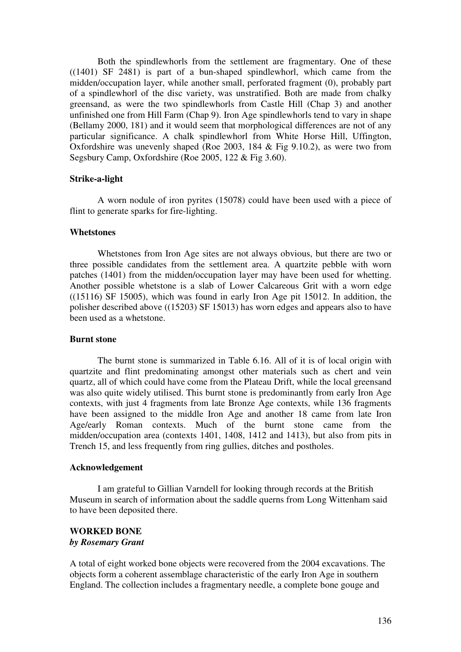Both the spindlewhorls from the settlement are fragmentary. One of these ((1401) SF 2481) is part of a bun-shaped spindlewhorl, which came from the midden/occupation layer, while another small, perforated fragment (0), probably part of a spindlewhorl of the disc variety, was unstratified. Both are made from chalky greensand, as were the two spindlewhorls from Castle Hill (Chap 3) and another unfinished one from Hill Farm (Chap 9). Iron Age spindlewhorls tend to vary in shape (Bellamy 2000, 181) and it would seem that morphological differences are not of any particular significance. A chalk spindlewhorl from White Horse Hill, Uffington, Oxfordshire was unevenly shaped (Roe 2003, 184 & Fig 9.10.2), as were two from Segsbury Camp, Oxfordshire (Roe 2005, 122 & Fig 3.60).

### **Strike-a-light**

 A worn nodule of iron pyrites (15078) could have been used with a piece of flint to generate sparks for fire-lighting.

#### **Whetstones**

 Whetstones from Iron Age sites are not always obvious, but there are two or three possible candidates from the settlement area. A quartzite pebble with worn patches (1401) from the midden/occupation layer may have been used for whetting. Another possible whetstone is a slab of Lower Calcareous Grit with a worn edge ((15116) SF 15005), which was found in early Iron Age pit 15012. In addition, the polisher described above ((15203) SF 15013) has worn edges and appears also to have been used as a whetstone.

### **Burnt stone**

 The burnt stone is summarized in Table 6.16. All of it is of local origin with quartzite and flint predominating amongst other materials such as chert and vein quartz, all of which could have come from the Plateau Drift, while the local greensand was also quite widely utilised. This burnt stone is predominantly from early Iron Age contexts, with just 4 fragments from late Bronze Age contexts, while 136 fragments have been assigned to the middle Iron Age and another 18 came from late Iron Age/early Roman contexts. Much of the burnt stone came from the midden/occupation area (contexts 1401, 1408, 1412 and 1413), but also from pits in Trench 15, and less frequently from ring gullies, ditches and postholes.

#### **Acknowledgement**

 I am grateful to Gillian Varndell for looking through records at the British Museum in search of information about the saddle querns from Long Wittenham said to have been deposited there.

### **WORKED BONE**  *by Rosemary Grant*

A total of eight worked bone objects were recovered from the 2004 excavations. The objects form a coherent assemblage characteristic of the early Iron Age in southern England. The collection includes a fragmentary needle, a complete bone gouge and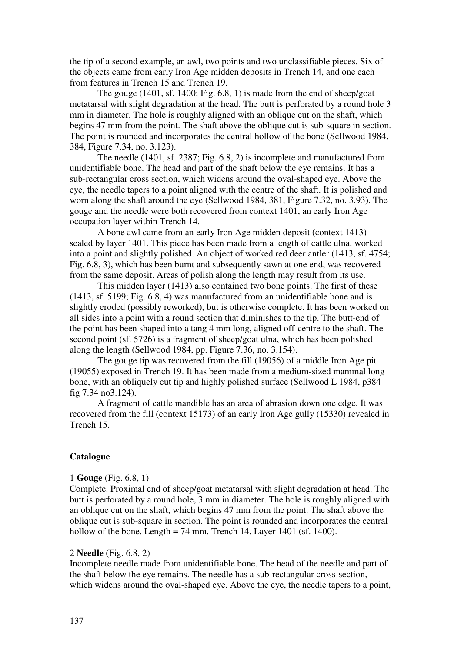the tip of a second example, an awl, two points and two unclassifiable pieces. Six of the objects came from early Iron Age midden deposits in Trench 14, and one each from features in Trench 15 and Trench 19.

The gouge (1401, sf. 1400; Fig. 6.8, 1) is made from the end of sheep/goat metatarsal with slight degradation at the head. The butt is perforated by a round hole 3 mm in diameter. The hole is roughly aligned with an oblique cut on the shaft, which begins 47 mm from the point. The shaft above the oblique cut is sub-square in section. The point is rounded and incorporates the central hollow of the bone (Sellwood 1984, 384, Figure 7.34, no. 3.123).

The needle (1401, sf. 2387; Fig. 6.8, 2) is incomplete and manufactured from unidentifiable bone. The head and part of the shaft below the eye remains. It has a sub-rectangular cross section, which widens around the oval-shaped eye. Above the eye, the needle tapers to a point aligned with the centre of the shaft. It is polished and worn along the shaft around the eye (Sellwood 1984, 381, Figure 7.32, no. 3.93). The gouge and the needle were both recovered from context 1401, an early Iron Age occupation layer within Trench 14.

A bone awl came from an early Iron Age midden deposit (context 1413) sealed by layer 1401. This piece has been made from a length of cattle ulna, worked into a point and slightly polished. An object of worked red deer antler (1413, sf. 4754; Fig. 6.8, 3), which has been burnt and subsequently sawn at one end, was recovered from the same deposit. Areas of polish along the length may result from its use.

This midden layer (1413) also contained two bone points. The first of these (1413, sf. 5199; Fig. 6.8, 4) was manufactured from an unidentifiable bone and is slightly eroded (possibly reworked), but is otherwise complete. It has been worked on all sides into a point with a round section that diminishes to the tip. The butt-end of the point has been shaped into a tang 4 mm long, aligned off-centre to the shaft. The second point (sf. 5726) is a fragment of sheep/goat ulna, which has been polished along the length (Sellwood 1984, pp. Figure 7.36, no. 3.154).

The gouge tip was recovered from the fill (19056) of a middle Iron Age pit (19055) exposed in Trench 19. It has been made from a medium-sized mammal long bone, with an obliquely cut tip and highly polished surface (Sellwood L 1984, p384 fig 7.34 no3.124).

A fragment of cattle mandible has an area of abrasion down one edge. It was recovered from the fill (context 15173) of an early Iron Age gully (15330) revealed in Trench 15.

## **Catalogue**

### 1 **Gouge** (Fig. 6.8, 1)

Complete. Proximal end of sheep/goat metatarsal with slight degradation at head. The butt is perforated by a round hole, 3 mm in diameter. The hole is roughly aligned with an oblique cut on the shaft, which begins 47 mm from the point. The shaft above the oblique cut is sub-square in section. The point is rounded and incorporates the central hollow of the bone. Length = 74 mm. Trench 14. Layer 1401 (sf. 1400).

### 2 **Needle** (Fig. 6.8, 2)

Incomplete needle made from unidentifiable bone. The head of the needle and part of the shaft below the eye remains. The needle has a sub-rectangular cross-section, which widens around the oval-shaped eye. Above the eye, the needle tapers to a point,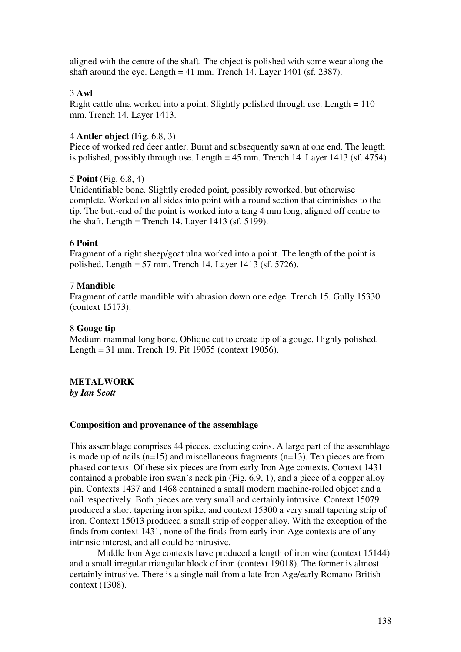aligned with the centre of the shaft. The object is polished with some wear along the shaft around the eye. Length  $= 41$  mm. Trench 14. Layer 1401 (sf. 2387).

## 3 **Awl**

Right cattle ulna worked into a point. Slightly polished through use. Length = 110 mm. Trench 14. Layer 1413.

## 4 **Antler object** (Fig. 6.8, 3)

Piece of worked red deer antler. Burnt and subsequently sawn at one end. The length is polished, possibly through use. Length  $= 45$  mm. Trench 14. Layer 1413 (sf. 4754)

## 5 **Point** (Fig. 6.8, 4)

Unidentifiable bone. Slightly eroded point, possibly reworked, but otherwise complete. Worked on all sides into point with a round section that diminishes to the tip. The butt-end of the point is worked into a tang 4 mm long, aligned off centre to the shaft. Length = Trench 14. Layer 1413 (sf. 5199).

## 6 **Point**

Fragment of a right sheep/goat ulna worked into a point. The length of the point is polished. Length = 57 mm. Trench 14. Layer 1413 (sf. 5726).

## 7 **Mandible**

Fragment of cattle mandible with abrasion down one edge. Trench 15. Gully 15330 (context 15173).

## 8 **Gouge tip**

Medium mammal long bone. Oblique cut to create tip of a gouge. Highly polished. Length = 31 mm. Trench 19. Pit 19055 (context 19056).

# **METALWORK**

*by Ian Scott* 

## **Composition and provenance of the assemblage**

This assemblage comprises 44 pieces, excluding coins. A large part of the assemblage is made up of nails (n=15) and miscellaneous fragments (n=13). Ten pieces are from phased contexts. Of these six pieces are from early Iron Age contexts. Context 1431 contained a probable iron swan's neck pin (Fig. 6.9, 1), and a piece of a copper alloy pin. Contexts 1437 and 1468 contained a small modern machine-rolled object and a nail respectively. Both pieces are very small and certainly intrusive. Context 15079 produced a short tapering iron spike, and context 15300 a very small tapering strip of iron. Context 15013 produced a small strip of copper alloy. With the exception of the finds from context 1431, none of the finds from early iron Age contexts are of any intrinsic interest, and all could be intrusive.

Middle Iron Age contexts have produced a length of iron wire (context 15144) and a small irregular triangular block of iron (context 19018). The former is almost certainly intrusive. There is a single nail from a late Iron Age/early Romano-British context (1308).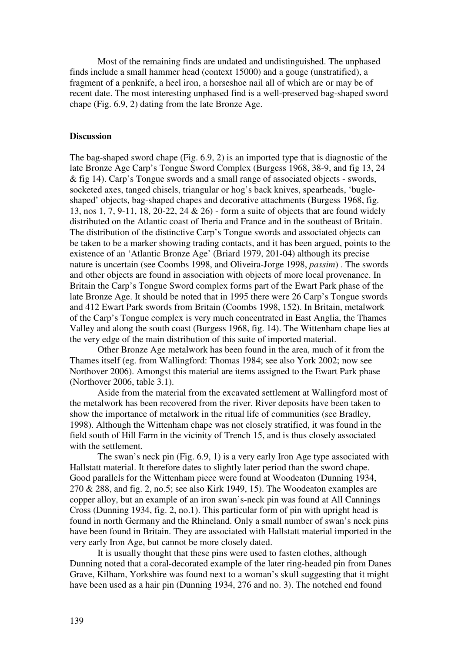Most of the remaining finds are undated and undistinguished. The unphased finds include a small hammer head (context 15000) and a gouge (unstratified), a fragment of a penknife, a heel iron, a horseshoe nail all of which are or may be of recent date. The most interesting unphased find is a well-preserved bag-shaped sword chape (Fig. 6.9, 2) dating from the late Bronze Age.

### **Discussion**

The bag-shaped sword chape (Fig. 6.9, 2) is an imported type that is diagnostic of the late Bronze Age Carp's Tongue Sword Complex (Burgess 1968, 38-9, and fig 13, 24 & fig 14). Carp's Tongue swords and a small range of associated objects - swords, socketed axes, tanged chisels, triangular or hog's back knives, spearheads, 'bugleshaped' objects, bag-shaped chapes and decorative attachments (Burgess 1968, fig. 13, nos 1, 7, 9-11, 18, 20-22, 24 & 26) - form a suite of objects that are found widely distributed on the Atlantic coast of Iberia and France and in the southeast of Britain. The distribution of the distinctive Carp's Tongue swords and associated objects can be taken to be a marker showing trading contacts, and it has been argued, points to the existence of an 'Atlantic Bronze Age' (Briard 1979, 201-04) although its precise nature is uncertain (see Coombs 1998, and Oliveira-Jorge 1998, *passim*) . The swords and other objects are found in association with objects of more local provenance. In Britain the Carp's Tongue Sword complex forms part of the Ewart Park phase of the late Bronze Age. It should be noted that in 1995 there were 26 Carp's Tongue swords and 412 Ewart Park swords from Britain (Coombs 1998, 152). In Britain, metalwork of the Carp's Tongue complex is very much concentrated in East Anglia, the Thames Valley and along the south coast (Burgess 1968, fig. 14). The Wittenham chape lies at the very edge of the main distribution of this suite of imported material.

Other Bronze Age metalwork has been found in the area, much of it from the Thames itself (eg. from Wallingford: Thomas 1984; see also York 2002; now see Northover 2006). Amongst this material are items assigned to the Ewart Park phase (Northover 2006, table 3.1).

Aside from the material from the excavated settlement at Wallingford most of the metalwork has been recovered from the river. River deposits have been taken to show the importance of metalwork in the ritual life of communities (see Bradley, 1998). Although the Wittenham chape was not closely stratified, it was found in the field south of Hill Farm in the vicinity of Trench 15, and is thus closely associated with the settlement.

The swan's neck pin (Fig. 6.9, 1) is a very early Iron Age type associated with Hallstatt material. It therefore dates to slightly later period than the sword chape. Good parallels for the Wittenham piece were found at Woodeaton (Dunning 1934, 270 & 288, and fig. 2, no.5; see also Kirk 1949, 15). The Woodeaton examples are copper alloy, but an example of an iron swan's-neck pin was found at All Cannings Cross (Dunning 1934, fig. 2, no.1). This particular form of pin with upright head is found in north Germany and the Rhineland. Only a small number of swan's neck pins have been found in Britain. They are associated with Hallstatt material imported in the very early Iron Age, but cannot be more closely dated.

It is usually thought that these pins were used to fasten clothes, although Dunning noted that a coral-decorated example of the later ring-headed pin from Danes Grave, Kilham, Yorkshire was found next to a woman's skull suggesting that it might have been used as a hair pin (Dunning 1934, 276 and no. 3). The notched end found